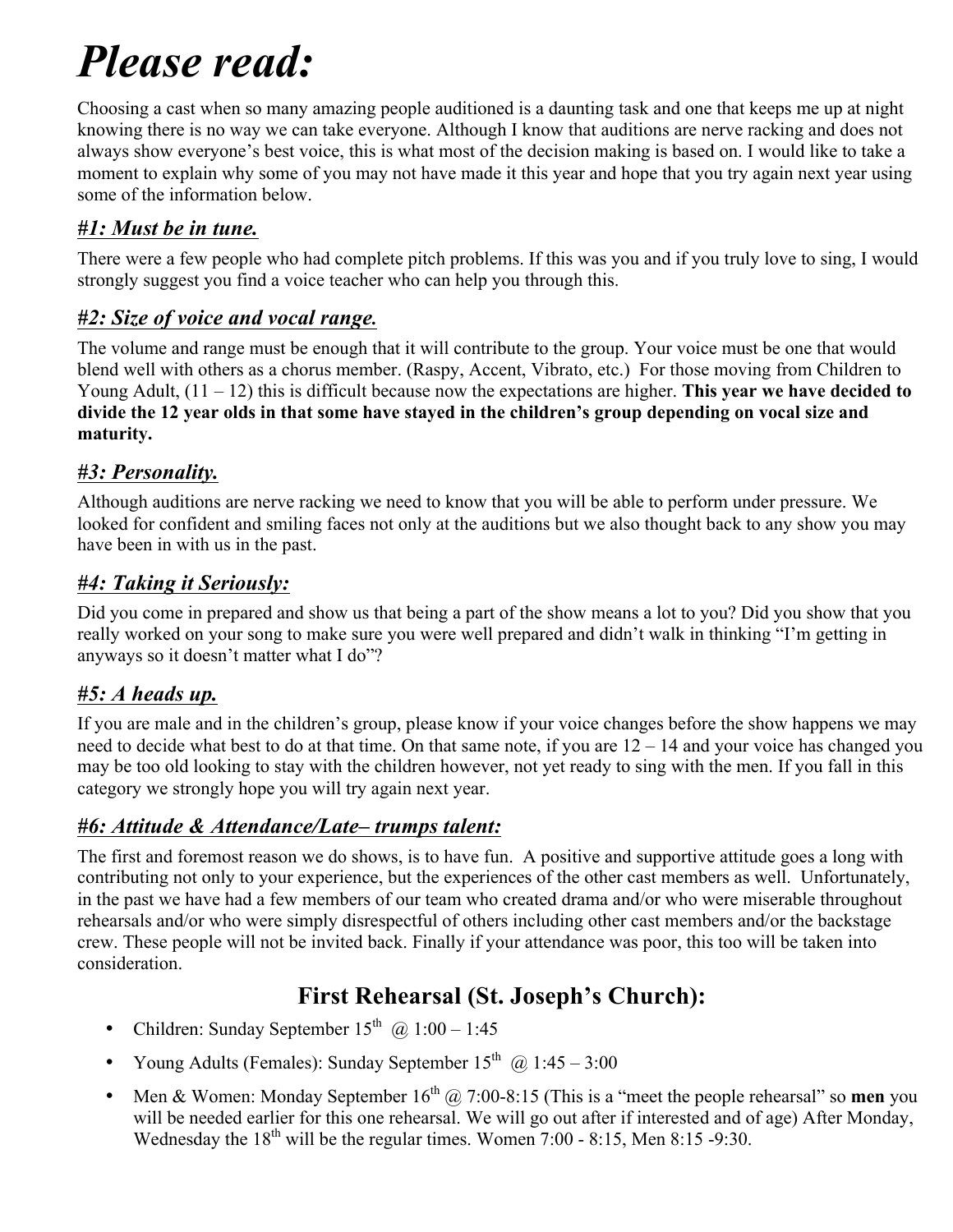# *Please read:*

Choosing a cast when so many amazing people auditioned is a daunting task and one that keeps me up at night knowing there is no way we can take everyone. Although I know that auditions are nerve racking and does not always show everyone's best voice, this is what most of the decision making is based on. I would like to take a moment to explain why some of you may not have made it this year and hope that you try again next year using some of the information below.

#### *#1: Must be in tune.*

There were a few people who had complete pitch problems. If this was you and if you truly love to sing, I would strongly suggest you find a voice teacher who can help you through this.

#### *#2: Size of voice and vocal range.*

The volume and range must be enough that it will contribute to the group. Your voice must be one that would blend well with others as a chorus member. (Raspy, Accent, Vibrato, etc.) For those moving from Children to Young Adult, (11 – 12) this is difficult because now the expectations are higher. **This year we have decided to divide the 12 year olds in that some have stayed in the children's group depending on vocal size and maturity.**

#### *#3: Personality.*

Although auditions are nerve racking we need to know that you will be able to perform under pressure. We looked for confident and smiling faces not only at the auditions but we also thought back to any show you may have been in with us in the past.

#### *#4: Taking it Seriously:*

Did you come in prepared and show us that being a part of the show means a lot to you? Did you show that you really worked on your song to make sure you were well prepared and didn't walk in thinking "I'm getting in anyways so it doesn't matter what I do"?

#### *#5: A heads up.*

If you are male and in the children's group, please know if your voice changes before the show happens we may need to decide what best to do at that time. On that same note, if you are 12 – 14 and your voice has changed you may be too old looking to stay with the children however, not yet ready to sing with the men. If you fall in this category we strongly hope you will try again next year.

#### *#6: Attitude & Attendance/Late– trumps talent:*

The first and foremost reason we do shows, is to have fun. A positive and supportive attitude goes a long with contributing not only to your experience, but the experiences of the other cast members as well. Unfortunately, in the past we have had a few members of our team who created drama and/or who were miserable throughout rehearsals and/or who were simply disrespectful of others including other cast members and/or the backstage crew. These people will not be invited back. Finally if your attendance was poor, this too will be taken into consideration.

### **First Rehearsal (St. Joseph's Church):**

- Children: Sunday September  $15^{th}$  ( $\widehat{\omega}$ )  $1:00 1:45$
- Young Adults (Females): Sunday September  $15<sup>th</sup>$  ( $\overline{a}$ )  $1:45-3:00$
- Men & Women: Monday September  $16<sup>th</sup>$   $@$  7:00-8:15 (This is a "meet the people rehearsal" so **men** you will be needed earlier for this one rehearsal. We will go out after if interested and of age) After Monday, Wednesday the  $18^{th}$  will be the regular times. Women 7:00 - 8:15, Men 8:15 -9:30.